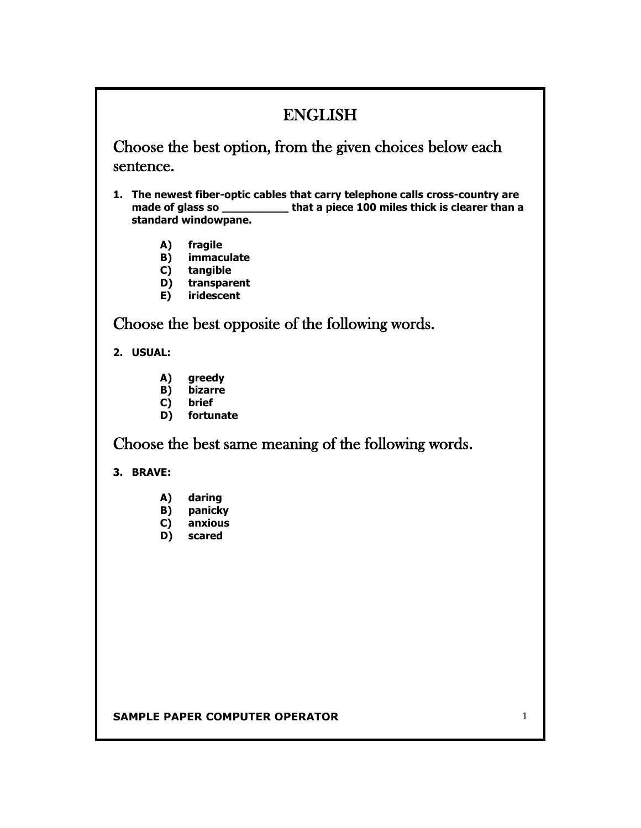# ENGLISH

Choose the best option, from the given choices below each sentence.

- **1. The newest fiber-optic cables that carry telephone calls cross-country are made of glass so \_\_\_\_\_\_\_\_\_\_ that a piece 100 miles thick is clearer than a standard windowpane.**
	- **A) fragile**
	- **B) immaculate**
	- **C) tangible**
	- **D) transparent**
	- **E) iridescent**

Choose the best opposite of the following words.

### **2. USUAL:**

- **A) greedy**
- **B) bizarre**
- **C) brief**
- **D) fortunate**

Choose the best same meaning of the following words.

## **3. BRAVE:**

- **A) daring**
- **B) panicky**
- **C) anxious**
- **D) scared**

#### **SAMPLE PAPER COMPUTER OPERATOR 1 1**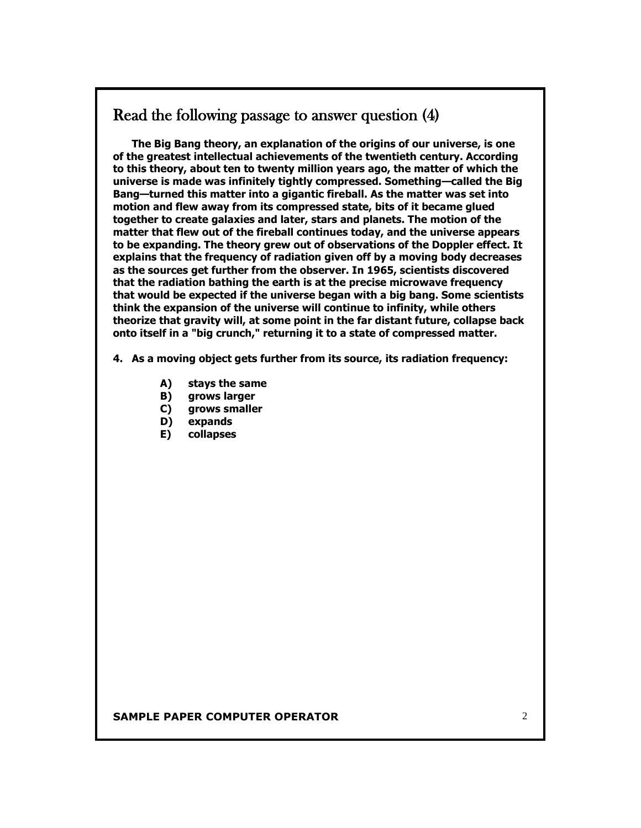## Read the following passage to answer question (4)

**The Big Bang theory, an explanation of the origins of our universe, is one of the greatest intellectual achievements of the twentieth century. According to this theory, about ten to twenty million years ago, the matter of which the universe is made was infinitely tightly compressed. Something—called the Big Bang—turned this matter into a gigantic fireball. As the matter was set into motion and flew away from its compressed state, bits of it became glued together to create galaxies and later, stars and planets. The motion of the matter that flew out of the fireball continues today, and the universe appears to be expanding. The theory grew out of observations of the Doppler effect. It explains that the frequency of radiation given off by a moving body decreases as the sources get further from the observer. In 1965, scientists discovered that the radiation bathing the earth is at the precise microwave frequency that would be expected if the universe began with a big bang. Some scientists think the expansion of the universe will continue to infinity, while others theorize that gravity will, at some point in the far distant future, collapse back onto itself in a "big crunch," returning it to a state of compressed matter.**

**4. As a moving object gets further from its source, its radiation frequency:**

- **A) stays the same**
- **B) grows larger**
- **C) grows smaller**
- **D) expands**
- **E) collapses**

#### **SAMPLE PAPER COMPUTER OPERATOR** 2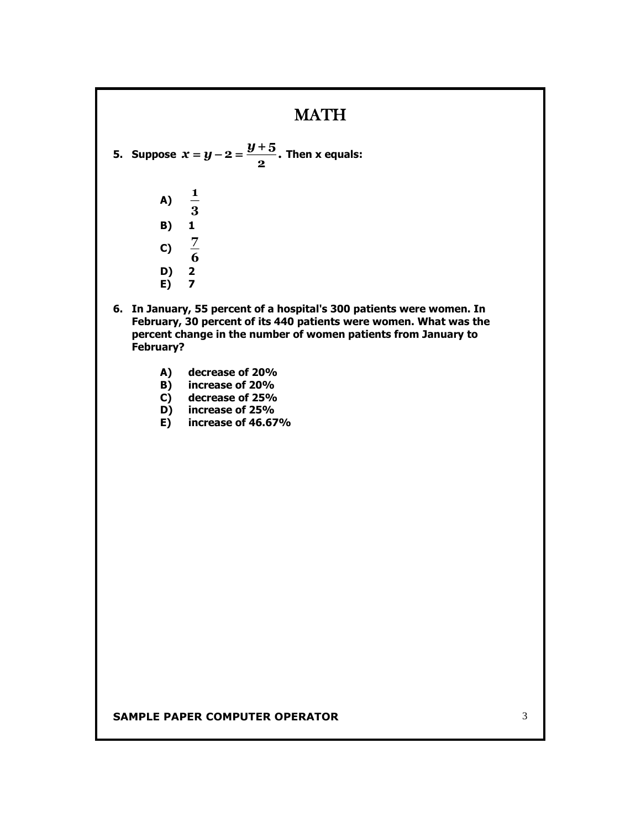## **MATH**

**5.** Suppose  $x = y - 2 = \frac{9 - 3}{2}$ .  $\boldsymbol{x}$  =  $\boldsymbol{y}$  - 2 =  $\frac{\boldsymbol{y}$  + 5 . Then **x** equals:

- **A) 3 1 B) 1** C)  $\frac{7}{6}$ **7 D) 2 E) 7**
- **6. In January, 55 percent of a hospital's 300 patients were women. In February, 30 percent of its 440 patients were women. What was the percent change in the number of women patients from January to February?** 
	- **A) decrease of 20%**
	- **B) increase of 20%**
	- **C) decrease of 25%**
	- **D) increase of 25%**
	- **E) increase of 46.67%**

#### **SAMPLE PAPER COMPUTER OPERATOR 3** 3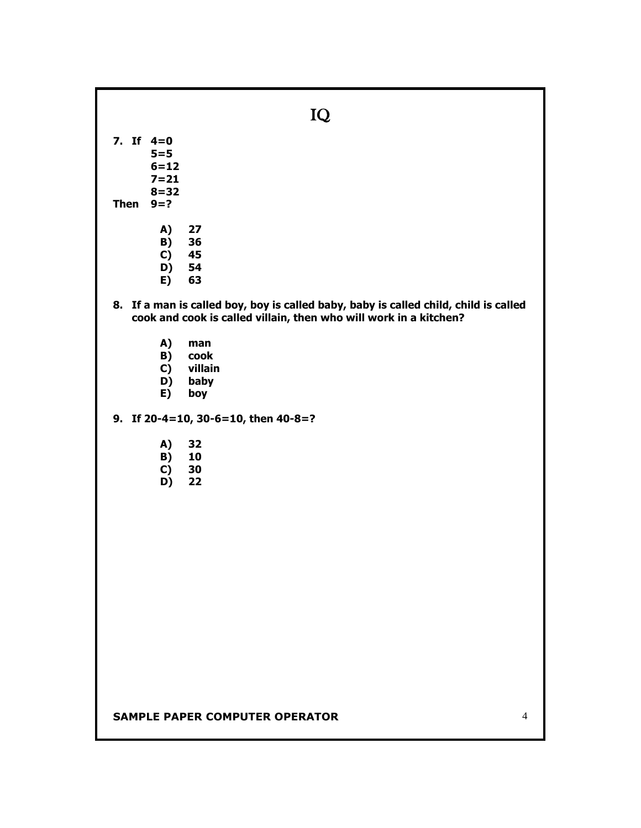**SAMPLE PAPER COMPUTER OPERATOR** 4 IQ **7. If 4=0 5=5 6=12 7=21 8=32 Then 9=? A) 27 B) 36 C) 45 D**) **E) 63 8. If a man is called boy, boy is called baby, baby is called child, child is called cook and cook is called villain, then who will work in a kitchen? A) man B) cook C) villain D) baby E) boy 9. If 20-4=10, 30-6=10, then 40-8=? A) 32 B) 10 C) 30 D) 22**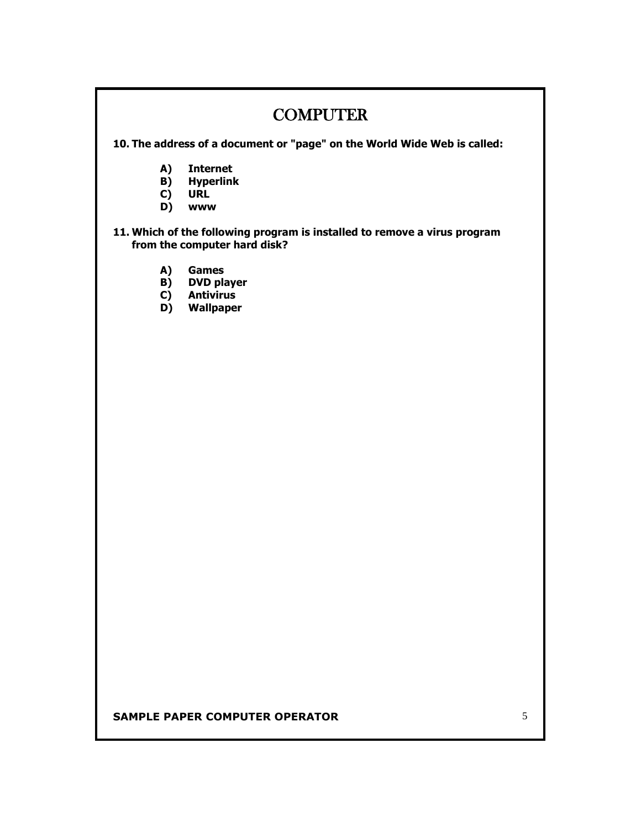# **COMPUTER**

**10. The address of a document or "page" on the World Wide Web is called:**

- **A) Internet**
- **B) Hyperlink**
- **C) URL**
- **D) www**

### **11. Which of the following program is installed to remove a virus program from the computer hard disk?**

- **A) Games**
- **B) DVD player**
- **C) Antivirus**
- **D) Wallpaper**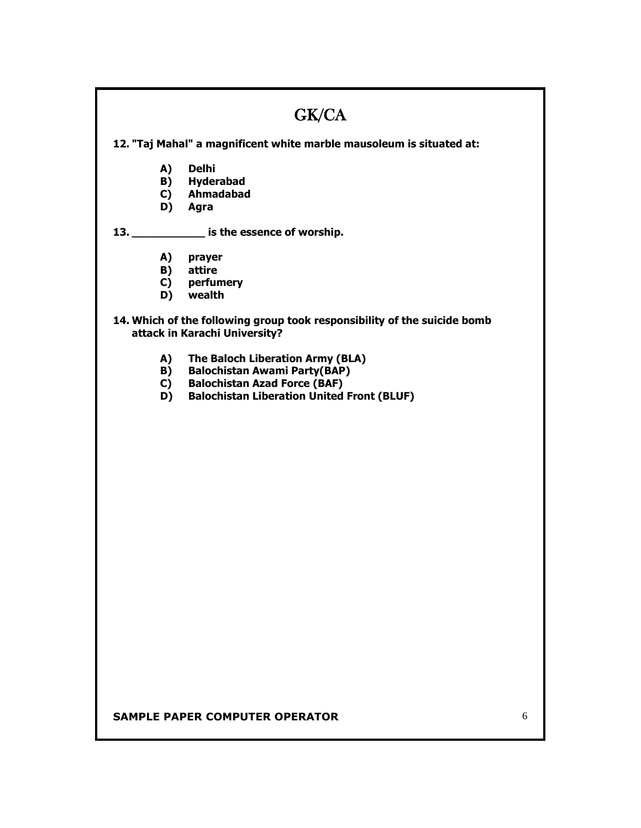|                                                                                                           | GK/CA                                             |   |  |
|-----------------------------------------------------------------------------------------------------------|---------------------------------------------------|---|--|
| 12. "Taj Mahal" a magnificent white marble mausoleum is situated at:                                      |                                                   |   |  |
| A)                                                                                                        | <b>Delhi</b>                                      |   |  |
|                                                                                                           | <b>B)</b> Hyderabad                               |   |  |
|                                                                                                           | C) Ahmadabad                                      |   |  |
|                                                                                                           | D) Agra                                           |   |  |
|                                                                                                           | 13. ______________ is the essence of worship.     |   |  |
| A)                                                                                                        | prayer                                            |   |  |
|                                                                                                           | <b>B)</b> attire                                  |   |  |
|                                                                                                           | C) perfumery                                      |   |  |
|                                                                                                           | D) wealth                                         |   |  |
| 14. Which of the following group took responsibility of the suicide bomb<br>attack in Karachi University? |                                                   |   |  |
| A)                                                                                                        | The Baloch Liberation Army (BLA)                  |   |  |
| B)                                                                                                        | <b>Balochistan Awami Party(BAP)</b>               |   |  |
| C)                                                                                                        | <b>Balochistan Azad Force (BAF)</b>               |   |  |
| D)                                                                                                        | <b>Balochistan Liberation United Front (BLUF)</b> |   |  |
|                                                                                                           |                                                   |   |  |
|                                                                                                           |                                                   |   |  |
|                                                                                                           |                                                   |   |  |
|                                                                                                           |                                                   |   |  |
|                                                                                                           |                                                   |   |  |
|                                                                                                           |                                                   |   |  |
|                                                                                                           |                                                   |   |  |
|                                                                                                           |                                                   |   |  |
|                                                                                                           |                                                   |   |  |
|                                                                                                           |                                                   |   |  |
|                                                                                                           |                                                   |   |  |
|                                                                                                           |                                                   |   |  |
|                                                                                                           |                                                   |   |  |
|                                                                                                           |                                                   |   |  |
|                                                                                                           |                                                   |   |  |
|                                                                                                           |                                                   |   |  |
|                                                                                                           |                                                   |   |  |
|                                                                                                           |                                                   |   |  |
|                                                                                                           |                                                   |   |  |
|                                                                                                           |                                                   |   |  |
|                                                                                                           |                                                   |   |  |
|                                                                                                           |                                                   |   |  |
|                                                                                                           |                                                   |   |  |
|                                                                                                           |                                                   | 6 |  |
| <b>SAMPLE PAPER COMPUTER OPERATOR</b>                                                                     |                                                   |   |  |

I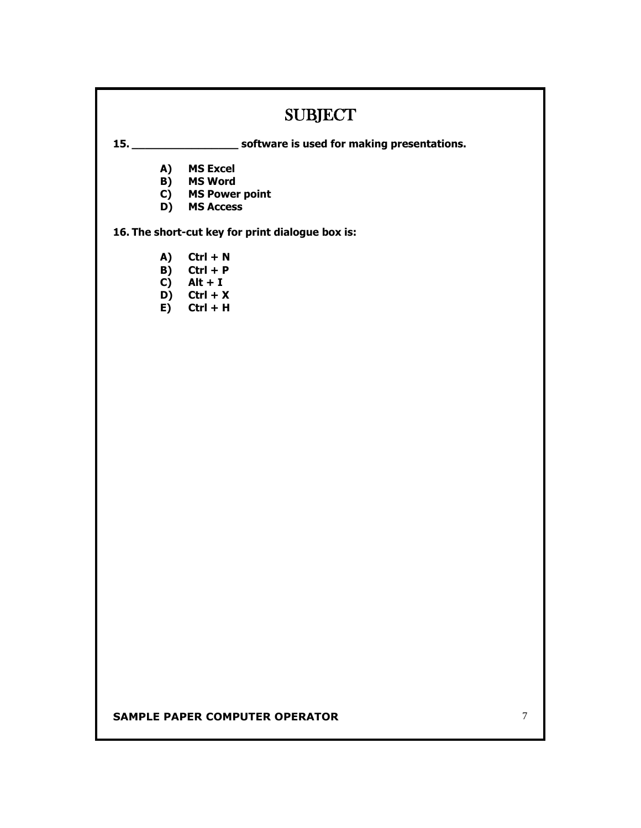# SUBJECT

**15. \_\_\_\_\_\_\_\_\_\_\_\_\_\_\_\_ software is used for making presentations.**

- **A) MS Excel**
- **B) MS Word**
- **C) MS Power point**
- **D) MS Access**

**16. The short-cut key for print dialogue box is:**

- **A) Ctrl + N**
- **B) Ctrl + P**
- $\overrightarrow{C}$  **Alt + I**
- **D) Ctrl + X**
- $\mathbf{E}$ **)** Ctrl + H